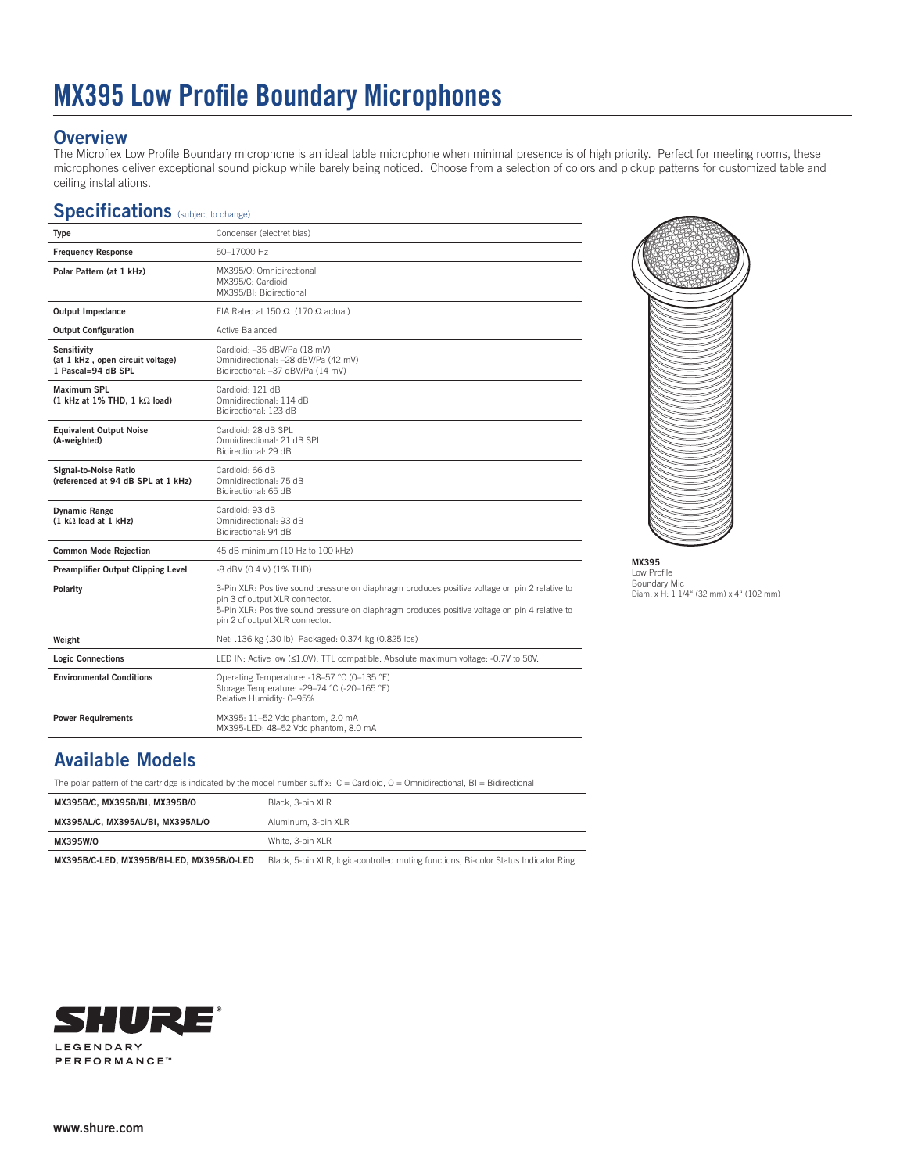# **MX395 Low Profile Boundary Microphones**

#### **Overview**

The Microflex Low Profile Boundary microphone is an ideal table microphone when minimal presence is of high priority. Perfect for meeting rooms, these microphones deliver exceptional sound pickup while barely being noticed. Choose from a selection of colors and pickup patterns for customized table and ceiling installations.

### Specifications (subject to change)

| Type                                                                         | Condenser (electret bias)                                                                                                                                                                                                                                            |
|------------------------------------------------------------------------------|----------------------------------------------------------------------------------------------------------------------------------------------------------------------------------------------------------------------------------------------------------------------|
| <b>Frequency Response</b>                                                    | 50-17000 Hz                                                                                                                                                                                                                                                          |
| Polar Pattern (at 1 kHz)                                                     | MX395/O: Omnidirectional<br>MX395/C: Cardioid<br>MX395/BI: Bidirectional                                                                                                                                                                                             |
| <b>Output Impedance</b>                                                      | EIA Rated at 150 Ω (170 Ω actual)                                                                                                                                                                                                                                    |
| <b>Output Configuration</b>                                                  | Active Balanced                                                                                                                                                                                                                                                      |
| <b>Sensitivity</b><br>(at 1 kHz, open circuit voltage)<br>1 Pascal=94 dB SPL | Cardioid: -35 dBV/Pa (18 mV)<br>Omnidirectional: -28 dBV/Pa (42 mV)<br>Bidirectional: -37 dBV/Pa (14 mV)                                                                                                                                                             |
| <b>Maximum SPL</b><br>$(1$ kHz at 1% THD, 1 k $\Omega$ load)                 | Cardioid: 121 dB<br>Omnidirectional: 114 dB<br>Bidirectional: 123 dB                                                                                                                                                                                                 |
| <b>Equivalent Output Noise</b><br>(A-weighted)                               | Cardioid: 28 dB SPL<br>Omnidirectional: 21 dB SPL<br>Bidirectional: 29 dB                                                                                                                                                                                            |
| <b>Signal-to-Noise Ratio</b><br>(referenced at 94 dB SPL at 1 kHz)           | Cardioid: 66 dB<br>Omnidirectional: 75 dB<br>Bidirectional: 65 dB                                                                                                                                                                                                    |
| <b>Dynamic Range</b><br>$(1 k\Omega$ load at 1 kHz)                          | Cardioid: 93 dB<br>Omnidirectional: 93 dB<br>Bidirectional: 94 dB                                                                                                                                                                                                    |
| <b>Common Mode Rejection</b>                                                 | 45 dB minimum (10 Hz to 100 kHz)                                                                                                                                                                                                                                     |
| Preamplifier Output Clipping Level                                           | -8 dBV (0.4 V) (1% THD)                                                                                                                                                                                                                                              |
| Polarity                                                                     | 3-Pin XLR: Positive sound pressure on diaphragm produces positive voltage on pin 2 relative to<br>pin 3 of output XLR connector.<br>5-Pin XLR: Positive sound pressure on diaphragm produces positive voltage on pin 4 relative to<br>pin 2 of output XLR connector. |
| Weight                                                                       | Net: .136 kg (.30 lb) Packaged: 0.374 kg (0.825 lbs)                                                                                                                                                                                                                 |
| <b>Logic Connections</b>                                                     | LED IN: Active low (≤1.0V), TTL compatible. Absolute maximum voltage: -0.7V to 50V.                                                                                                                                                                                  |
| <b>Environmental Conditions</b>                                              | Operating Temperature: -18-57 °C (0-135 °F)<br>Storage Temperature: -29-74 °C (-20-165 °F)<br>Relative Humidity: 0-95%                                                                                                                                               |
| <b>Power Requirements</b>                                                    | MX395: 11-52 Vdc phantom, 2.0 mA<br>MX395-LED: 48-52 Vdc phantom, 8.0 mA                                                                                                                                                                                             |



**MX395**  Low Profile Boundary Mic Diam. x H: 1 1/4" (32 mm) x 4" (102 mm)

## **Available Models**

The polar pattern of the cartridge is indicated by the model number suffix: C = Cardioid, O = Omnidirectional, BI = Bidirectional

| MX395B/C. MX395B/BI. MX395B/O             | Black, 3-pin XLR                                                                    |
|-------------------------------------------|-------------------------------------------------------------------------------------|
| MX395AL/C. MX395AL/BI. MX395AL/O          | Aluminum, 3-pin XLR                                                                 |
| MX395W/O                                  | White, 3-pin XLR                                                                    |
| MX395B/C-LED. MX395B/BI-LED. MX395B/O-LED | Black, 5-pin XLR, logic-controlled muting functions, Bi-color Status Indicator Ring |